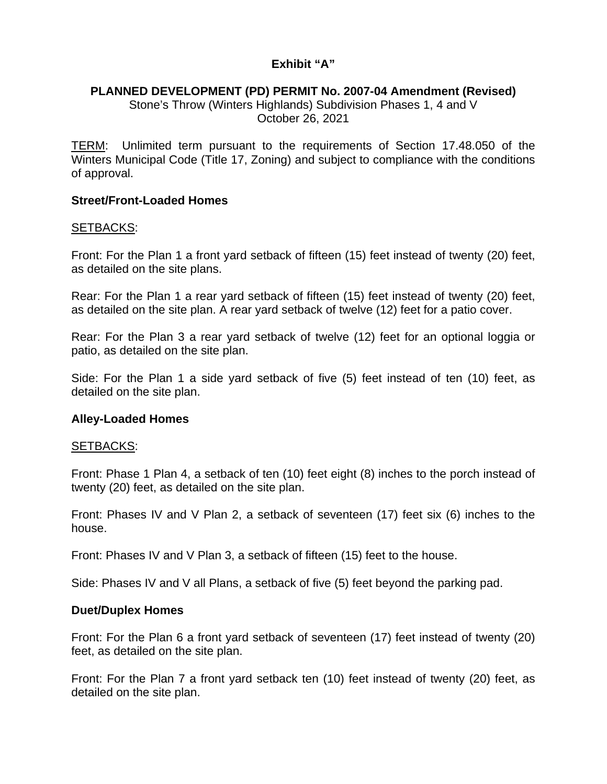# **Exhibit "A"**

## **PLANNED DEVELOPMENT (PD) PERMIT No. 2007-04 Amendment (Revised)**

Stone's Throw (Winters Highlands) Subdivision Phases 1, 4 and V October 26, 2021

TERM: Unlimited term pursuant to the requirements of Section 17.48.050 of the Winters Municipal Code (Title 17, Zoning) and subject to compliance with the conditions of approval.

## **Street/Front-Loaded Homes**

#### SETBACKS:

Front: For the Plan 1 a front yard setback of fifteen (15) feet instead of twenty (20) feet, as detailed on the site plans.

Rear: For the Plan 1 a rear yard setback of fifteen (15) feet instead of twenty (20) feet, as detailed on the site plan. A rear yard setback of twelve (12) feet for a patio cover.

Rear: For the Plan 3 a rear yard setback of twelve (12) feet for an optional loggia or patio, as detailed on the site plan.

Side: For the Plan 1 a side yard setback of five (5) feet instead of ten (10) feet, as detailed on the site plan.

## **Alley-Loaded Homes**

#### SETBACKS:

Front: Phase 1 Plan 4, a setback of ten (10) feet eight (8) inches to the porch instead of twenty (20) feet, as detailed on the site plan.

Front: Phases IV and V Plan 2, a setback of seventeen (17) feet six (6) inches to the house.

Front: Phases IV and V Plan 3, a setback of fifteen (15) feet to the house.

Side: Phases IV and V all Plans, a setback of five (5) feet beyond the parking pad.

## **Duet/Duplex Homes**

Front: For the Plan 6 a front yard setback of seventeen (17) feet instead of twenty (20) feet, as detailed on the site plan.

Front: For the Plan 7 a front yard setback ten (10) feet instead of twenty (20) feet, as detailed on the site plan.